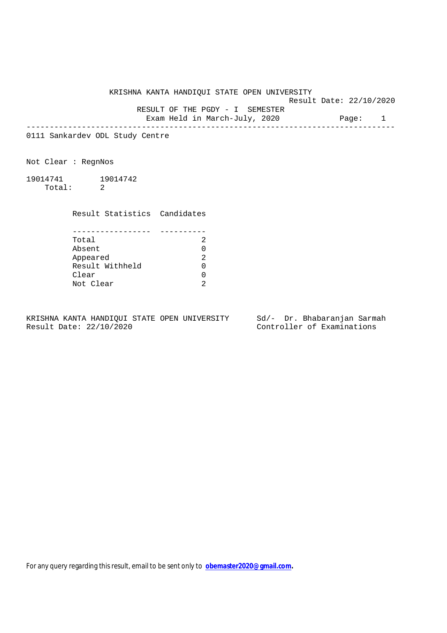KRISHNA KANTA HANDIQUI STATE OPEN UNIVERSITY

Result Date: 22/10/2020

RESULT OF THE PGDY - I SEMESTER

Exam Held in March-July, 2020 Page: 1 --------------------------------------------------------------------------------

0111 Sankardev ODL Study Centre

Not Clear : RegnNos

19014741 19014742 Total: 2

Result Statistics Candidates

| Total           |   |
|-----------------|---|
| Absent          |   |
| Appeared        | ာ |
| Result Withheld |   |
| Clear           |   |
| Not Clear       |   |

KRISHNA KANTA HANDIQUI STATE OPEN UNIVERSITY Sd/- Dr. Bhabaranjan Sarmah Result Date: 22/10/2020 Controller of Examinations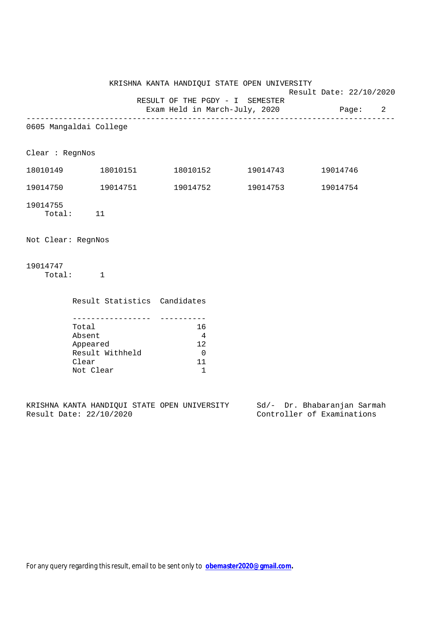KRISHNA KANTA HANDIQUI STATE OPEN UNIVERSITY Result Date: 22/10/2020 RESULT OF THE PGDY - I SEMESTER Exam Held in March-July, 2020 Page: 2 -------------------------------------------------------------------------------- 0605 Mangaldai College Clear : RegnNos 18010149 18010151 18010152 19014743 19014746 19014750 19014751 19014752 19014753 19014754 19014755 Total: 11 Not Clear: RegnNos 19014747 Total: 1 Result Statistics Candidates ----------------- ---------- Total 16 Absent 4<br>Appeared 12 Appeared Result Withheld 0

KRISHNA KANTA HANDIQUI STATE OPEN UNIVERSITY Sd/- Dr. Bhabaranjan Sarmah Result Date: 22/10/2020 Controller of Examinations

Clear 11 Not Clear 1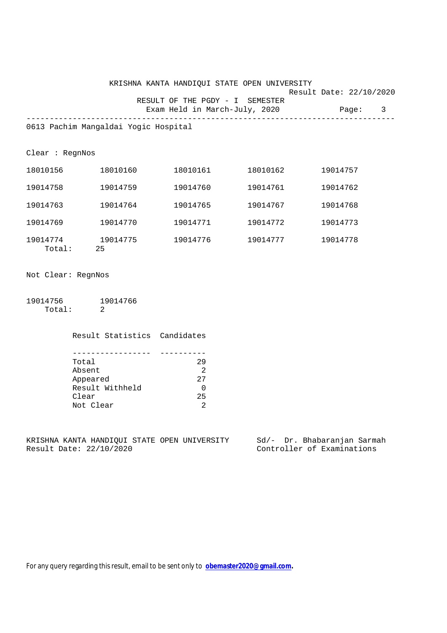| KRISHNA KANTA HANDIOUI STATE OPEN UNIVERSITY |                         |         |  |
|----------------------------------------------|-------------------------|---------|--|
|                                              | Result Date: 22/10/2020 |         |  |
| RESULT OF THE PGDY - I SEMESTER              |                         |         |  |
| Exam Held in March-July, 2020                |                         | Page: 3 |  |
|                                              |                         |         |  |

0613 Pachim Mangaldai Yogic Hospital

Clear : RegnNos

| 18010156           | 18010160       | 18010161 | 18010162 | 19014757 |
|--------------------|----------------|----------|----------|----------|
| 19014758           | 19014759       | 19014760 | 19014761 | 19014762 |
| 19014763           | 19014764       | 19014765 | 19014767 | 19014768 |
| 19014769           | 19014770       | 19014771 | 19014772 | 19014773 |
| 19014774<br>Total: | 19014775<br>25 | 19014776 | 19014777 | 19014778 |

Not Clear: RegnNos

19014756 19014766 Total: 2

> Result Statistics Candidates ----------------- ---------- Total 29<br>
> Absent 2<br>
> messed 27 Absent

| Appeared        |     |
|-----------------|-----|
| Result Withheld |     |
| Clear           | 25. |
| Not Clear       |     |

KRISHNA KANTA HANDIQUI STATE OPEN UNIVERSITY Sd/- Dr. Bhabaranjan Sarmah Result Date: 22/10/2020 Controller of Examinations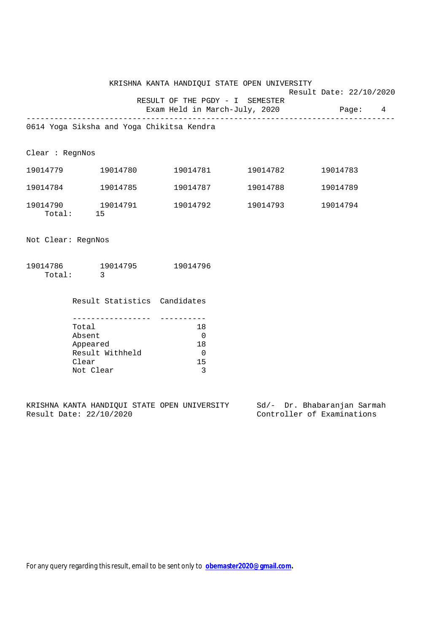KRISHNA KANTA HANDIQUI STATE OPEN UNIVERSITY Result Date: 22/10/2020 RESULT OF THE PGDY - I SEMESTER Exam Held in March-July, 2020 Page: 4

--------------------------------------------------------------------------------

0614 Yoga Siksha and Yoga Chikitsa Kendra

Clear : RegnNos

| 19014779           | 19014780       | 19014781 | 19014782 | 19014783 |
|--------------------|----------------|----------|----------|----------|
| 19014784           | 19014785       | 19014787 | 19014788 | 19014789 |
| 19014790<br>Total: | 19014791<br>15 | 19014792 | 19014793 | 19014794 |

Not Clear: RegnNos

| 19014786 | 19014795 | 19014796 |
|----------|----------|----------|
| Total:   |          |          |

Result Statistics Candidates

| Total           | 18 |
|-----------------|----|
| Absent          |    |
| Appeared        | 18 |
| Result Withheld |    |
| Clear           | 15 |
| Not Clear       |    |

KRISHNA KANTA HANDIQUI STATE OPEN UNIVERSITY Sd/- Dr. Bhabaranjan Sarmah Result Date: 22/10/2020 Controller of Examinations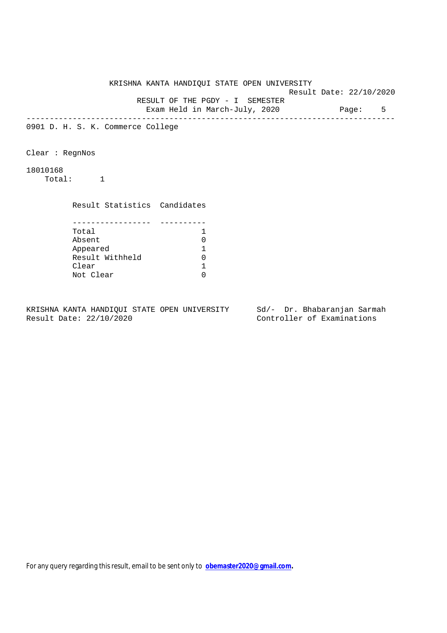KRISHNA KANTA HANDIQUI STATE OPEN UNIVERSITY Result Date: 22/10/2020 RESULT OF THE PGDY - I SEMESTER Exam Held in March-July, 2020 Page: 5 -------------------------------------------------------------------------------- 0901 D. H. S. K. Commerce College Clear : RegnNos 18010168 Total: 1 Result Statistics Candidates ----------------- ---------- Total 1<br>Absent 0 Absent 0 Appeared 1 Appeared 1<br>Result Withheld 0<br>Clear 1 Clear Not Clear 0

KRISHNA KANTA HANDIQUI STATE OPEN UNIVERSITY Sd/- Dr. Bhabaranjan Sarmah Result Date: 22/10/2020 Controller of Examinations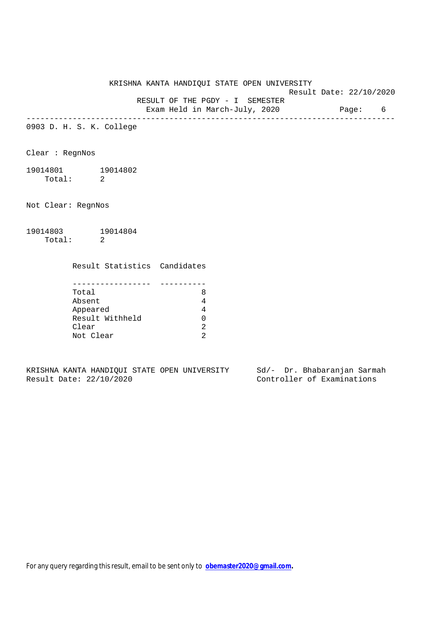KRISHNA KANTA HANDIQUI STATE OPEN UNIVERSITY Result Date: 22/10/2020 RESULT OF THE PGDY - I SEMESTER

Exam Held in March-July, 2020 Page: 6

--------------------------------------------------------------------------------

0903 D. H. S. K. College

Clear : RegnNos

19014801 19014802 Total: 2

Not Clear: RegnNos

19014803 19014804 Total: 2

Result Statistics Candidates

| Total           |  |
|-----------------|--|
| Absent          |  |
| Appeared        |  |
| Result Withheld |  |
| Clear           |  |
| Not Clear       |  |

KRISHNA KANTA HANDIQUI STATE OPEN UNIVERSITY Sd/- Dr. Bhabaranjan Sarmah<br>Result Date: 22/10/2020 Controller of Examinations

Controller of Examinations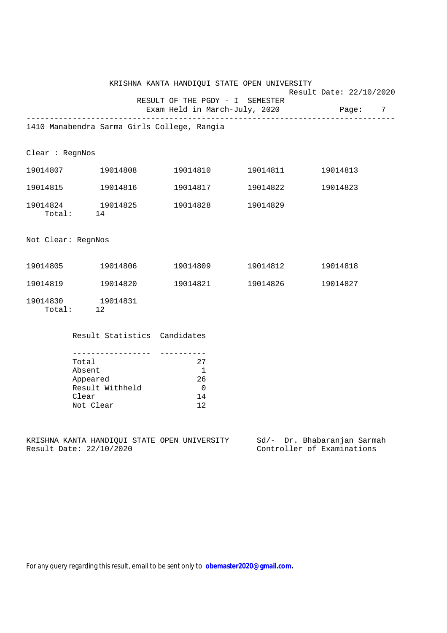|                    |                                   | KRISHNA KANTA HANDIQUI STATE OPEN UNIVERSITY                             | Result Date: 22/10/2020 |  |
|--------------------|-----------------------------------|--------------------------------------------------------------------------|-------------------------|--|
|                    |                                   | RESULT OF THE PGDY - I SEMESTER<br>Exam Held in March-July, 2020 Page: 7 |                         |  |
|                    |                                   | 1410 Manabendra Sarma Girls College, Rangia                              |                         |  |
| Clear : RegnNos    |                                   |                                                                          |                         |  |
|                    |                                   | $19014807$ $19014808$ $19014810$ $19014811$ $19014813$                   |                         |  |
|                    | 19014815    19014816              | 19014817 19014822                                                        | 19014823                |  |
|                    | Total: 14                         | 19014824 19014825 19014828 19014829                                      |                         |  |
| Not Clear: RegnNos |                                   |                                                                          |                         |  |
|                    |                                   | 19014805    19014806    19014809    19014812                             | 19014818                |  |
|                    |                                   |                                                                          | 19014827                |  |
|                    | 19014830    19014831<br>Total: 12 |                                                                          |                         |  |
|                    | Result Statistics Candidates      |                                                                          |                         |  |
|                    |                                   |                                                                          |                         |  |

| Total           | 27           |
|-----------------|--------------|
| Absent          |              |
| Appeared        | 26           |
| Result Withheld | <sup>n</sup> |
| Clear           | 14           |
| Not Clear       | 12           |

KRISHNA KANTA HANDIQUI STATE OPEN UNIVERSITY Sd/- Dr. Bhabaranjan Sarmah Result Date: 22/10/2020 Controller of Examinations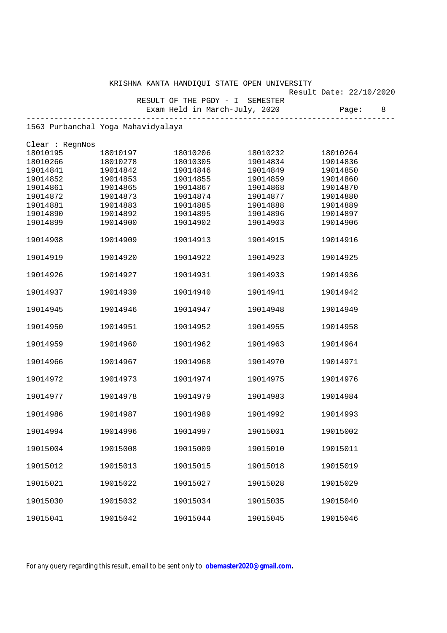|                                    |          | KRISHNA KANTA HANDIQUI STATE OPEN UNIVERSITY |          | Result Date: 22/10/2020 |
|------------------------------------|----------|----------------------------------------------|----------|-------------------------|
|                                    |          | RESULT OF THE PGDY - I SEMESTER              |          |                         |
|                                    |          | Exam Held in March-July, 2020                |          | Page:<br>8              |
| 1563 Purbanchal Yoga Mahavidyalaya |          |                                              |          |                         |
| Clear : RegnNos                    |          |                                              |          |                         |
| 18010195                           | 18010197 | 18010206                                     | 18010232 | 18010264                |
| 18010266                           | 18010278 | 18010305                                     | 19014834 | 19014836                |
| 19014841                           | 19014842 | 19014846                                     | 19014849 | 19014850                |
| 19014852                           | 19014853 | 19014855                                     | 19014859 | 19014860                |
| 19014861                           | 19014865 | 19014867                                     | 19014868 | 19014870                |
| 19014872                           | 19014873 | 19014874                                     | 19014877 | 19014880                |
| 19014881                           | 19014883 | 19014885                                     | 19014888 | 19014889                |
| 19014890                           | 19014892 | 19014895                                     | 19014896 | 19014897                |
| 19014899                           | 19014900 | 19014902                                     | 19014903 | 19014906                |
| 19014908                           | 19014909 | 19014913                                     | 19014915 | 19014916                |
| 19014919                           | 19014920 | 19014922                                     | 19014923 | 19014925                |
| 19014926                           | 19014927 | 19014931                                     | 19014933 | 19014936                |
| 19014937                           | 19014939 | 19014940                                     | 19014941 | 19014942                |
| 19014945                           | 19014946 | 19014947                                     | 19014948 | 19014949                |
| 19014950                           | 19014951 | 19014952                                     | 19014955 | 19014958                |
| 19014959                           | 19014960 | 19014962                                     | 19014963 | 19014964                |
| 19014966                           | 19014967 | 19014968                                     | 19014970 | 19014971                |
| 19014972                           | 19014973 | 19014974                                     | 19014975 | 19014976                |
| 19014977                           | 19014978 | 19014979                                     | 19014983 | 19014984                |
| 19014986                           | 19014987 | 19014989                                     | 19014992 | 19014993                |
| 19014994                           | 19014996 | 19014997                                     | 19015001 | 19015002                |
| 19015004                           | 19015008 | 19015009                                     | 19015010 | 19015011                |
| 19015012                           | 19015013 | 19015015                                     | 19015018 | 19015019                |
| 19015021                           | 19015022 | 19015027                                     | 19015028 | 19015029                |
| 19015030                           | 19015032 | 19015034                                     | 19015035 | 19015040                |
| 19015041                           | 19015042 | 19015044                                     | 19015045 | 19015046                |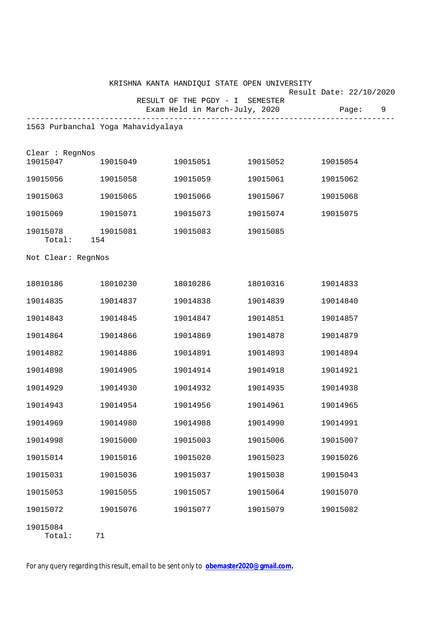|                                 |                                    | KRISHNA KANTA HANDIQUI STATE OPEN UNIVERSITY |                               | Result Date: 22/10/2020 |
|---------------------------------|------------------------------------|----------------------------------------------|-------------------------------|-------------------------|
|                                 |                                    | RESULT OF THE PGDY - I SEMESTER              | Exam Held in March-July, 2020 | 9<br>Page:              |
|                                 | 1563 Purbanchal Yoga Mahavidyalaya |                                              |                               |                         |
|                                 |                                    |                                              |                               |                         |
| Clear : RegnNos<br>19015047     | 19015049                           | 19015051                                     | 19015052                      | 19015054                |
| 19015056                        | 19015058                           | 19015059                                     | 19015061                      | 19015062                |
| 19015063                        | 19015065                           | 19015066                                     | 19015067                      | 19015068                |
| 19015069                        | 19015071                           | 19015073                                     | 19015074                      | 19015075                |
| 19015078 19015081<br>Total: 154 |                                    | 19015083                                     | 19015085                      |                         |
| Not Clear: RegnNos              |                                    |                                              |                               |                         |
| 18010186                        | 18010230                           | 18010286                                     | 18010316                      | 19014833                |
| 19014835                        | 19014837                           | 19014838                                     | 19014839                      | 19014840                |
| 19014843                        | 19014845                           | 19014847                                     | 19014851                      | 19014857                |
| 19014864                        | 19014866                           | 19014869                                     | 19014878                      | 19014879                |
| 19014882                        | 19014886                           | 19014891                                     | 19014893                      | 19014894                |
| 19014898                        | 19014905                           | 19014914                                     | 19014918                      | 19014921                |
| 19014929                        | 19014930                           | 19014932                                     | 19014935                      | 19014938                |
| 19014943                        | 19014954                           | 19014956                                     | 19014961                      | 19014965                |
| 19014969                        | 19014980                           | 19014988                                     | 19014990                      | 19014991                |
| 19014998                        | 19015000                           | 19015003                                     | 19015006                      | 19015007                |
| 19015014                        | 19015016                           | 19015020                                     | 19015023                      | 19015026                |
| 19015031                        | 19015036                           | 19015037                                     | 19015038                      | 19015043                |
| 19015053                        | 19015055                           | 19015057                                     | 19015064                      | 19015070                |
| 19015072                        | 19015076                           | 19015077                                     | 19015079                      | 19015082                |
| 19015084                        |                                    |                                              |                               |                         |

Total: 71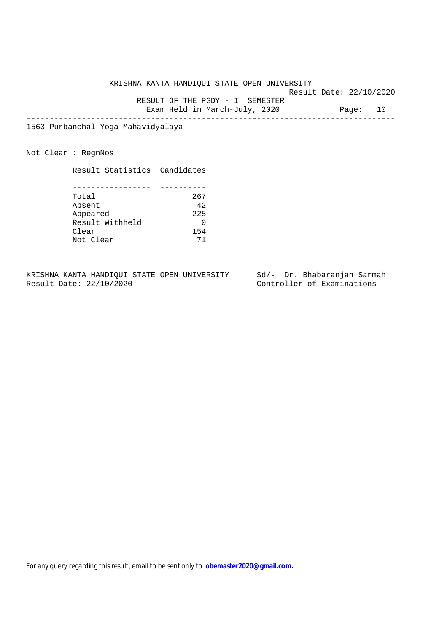KRISHNA KANTA HANDIQUI STATE OPEN UNIVERSITY

Result Date: 22/10/2020

 RESULT OF THE PGDY - I SEMESTER Exam Held in March-July, 2020 Page: 10

--------------------------------------------------------------------------------

1563 Purbanchal Yoga Mahavidyalaya

Not Clear : RegnNos

Result Statistics Candidates

| Total           | 267 |
|-----------------|-----|
| Absent          | 42  |
| Appeared        | 225 |
| Result Withheld |     |
| Clear           | 154 |
| Not Clear       |     |

KRISHNA KANTA HANDIQUI STATE OPEN UNIVERSITY Sd/- Dr. Bhabaranjan Sarmah<br>Result Date: 22/10/2020 Controller of Examinations

Controller of Examinations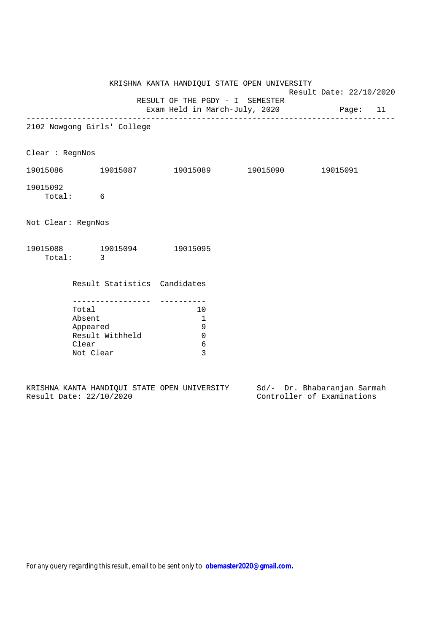|                                                                      |          |                                                       | KRISHNA KANTA HANDIQUI STATE OPEN UNIVERSITY                              | Result Date: 22/10/2020 |  |  |
|----------------------------------------------------------------------|----------|-------------------------------------------------------|---------------------------------------------------------------------------|-------------------------|--|--|
|                                                                      |          |                                                       | RESULT OF THE PGDY - I SEMESTER<br>Exam Held in March-July, 2020 Page: 11 |                         |  |  |
|                                                                      |          | 2102 Nowgong Girls' College                           |                                                                           |                         |  |  |
| Clear : RegnNos                                                      |          |                                                       |                                                                           |                         |  |  |
|                                                                      |          |                                                       | 19015086 19015087 19015089 19015090 19015091                              |                         |  |  |
| 19015092                                                             | Total: 6 |                                                       |                                                                           |                         |  |  |
| Not Clear: RegnNos                                                   |          |                                                       |                                                                           |                         |  |  |
|                                                                      | Total: 3 |                                                       | 19015088 19015094 19015095                                                |                         |  |  |
|                                                                      |          |                                                       | Result Statistics Candidates                                              |                         |  |  |
| Total<br>Absent<br>Appeared<br>Result Withheld<br>Clear<br>Not Clear |          | 10<br>$\overline{1}$<br>9<br>$\overline{0}$<br>6<br>3 |                                                                           |                         |  |  |

|  |                         |  | KRISHNA KANTA HANDIOUI STATE OPEN UNIVERSITY |  | Sd/- Dr. Bhabaranjan Sarmah |  |
|--|-------------------------|--|----------------------------------------------|--|-----------------------------|--|
|  | Result Date: 22/10/2020 |  |                                              |  | Controller of Examinations  |  |